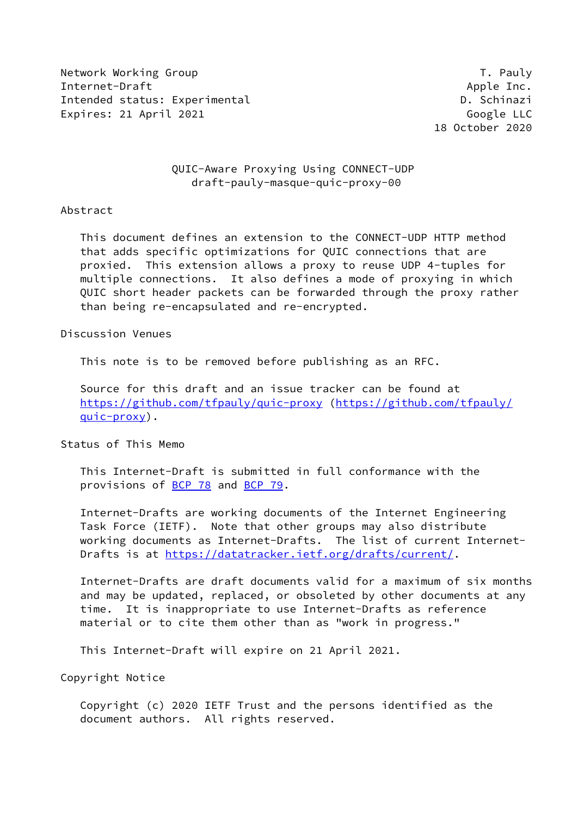Network Working Group Theory Contract of the United States of the T. Pauly Internet-Draft Apple Inc. Intended status: Experimental D. Schinazi Expires: 21 April 2021 Google LLC

18 October 2020

# QUIC-Aware Proxying Using CONNECT-UDP draft-pauly-masque-quic-proxy-00

### Abstract

 This document defines an extension to the CONNECT-UDP HTTP method that adds specific optimizations for QUIC connections that are proxied. This extension allows a proxy to reuse UDP 4-tuples for multiple connections. It also defines a mode of proxying in which QUIC short header packets can be forwarded through the proxy rather than being re-encapsulated and re-encrypted.

Discussion Venues

This note is to be removed before publishing as an RFC.

 Source for this draft and an issue tracker can be found at <https://github.com/tfpauly/quic-proxy> ([https://github.com/tfpauly/](https://github.com/tfpauly/quic-proxy) [quic-proxy](https://github.com/tfpauly/quic-proxy)).

Status of This Memo

 This Internet-Draft is submitted in full conformance with the provisions of [BCP 78](https://datatracker.ietf.org/doc/pdf/bcp78) and [BCP 79](https://datatracker.ietf.org/doc/pdf/bcp79).

 Internet-Drafts are working documents of the Internet Engineering Task Force (IETF). Note that other groups may also distribute working documents as Internet-Drafts. The list of current Internet- Drafts is at<https://datatracker.ietf.org/drafts/current/>.

 Internet-Drafts are draft documents valid for a maximum of six months and may be updated, replaced, or obsoleted by other documents at any time. It is inappropriate to use Internet-Drafts as reference material or to cite them other than as "work in progress."

This Internet-Draft will expire on 21 April 2021.

Copyright Notice

 Copyright (c) 2020 IETF Trust and the persons identified as the document authors. All rights reserved.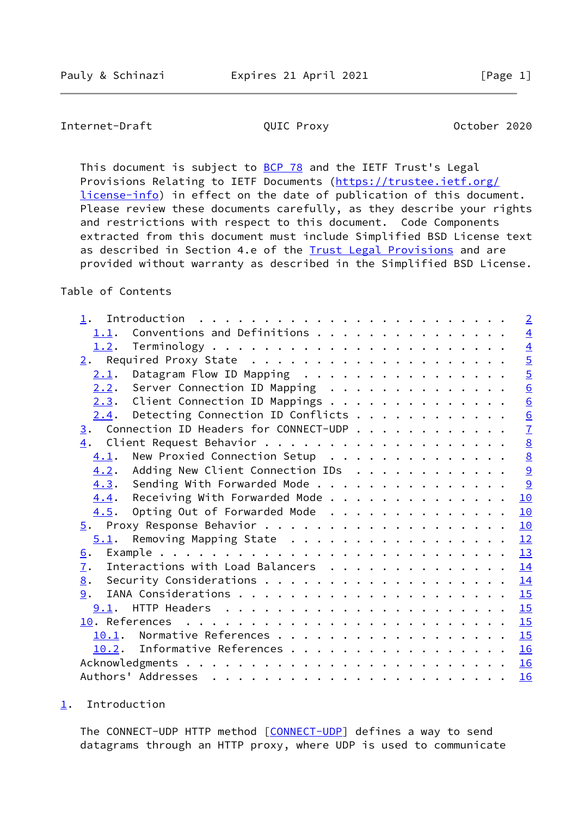# <span id="page-1-1"></span>Internet-Draft **QUIC Proxy October 2020**

This document is subject to **[BCP 78](https://datatracker.ietf.org/doc/pdf/bcp78)** and the IETF Trust's Legal Provisions Relating to IETF Documents ([https://trustee.ietf.org/](https://trustee.ietf.org/license-info) [license-info](https://trustee.ietf.org/license-info)) in effect on the date of publication of this document. Please review these documents carefully, as they describe your rights and restrictions with respect to this document. Code Components extracted from this document must include Simplified BSD License text as described in Section 4.e of the [Trust Legal Provisions](https://trustee.ietf.org/license-info) and are provided without warranty as described in the Simplified BSD License.

# Table of Contents

|                                                       |  | $\overline{2}$  |
|-------------------------------------------------------|--|-----------------|
| 1.1.                                                  |  | $\overline{4}$  |
| 1.2.                                                  |  | $\overline{4}$  |
|                                                       |  | $\overline{5}$  |
| Datagram Flow ID Mapping<br>2.1.                      |  | $\overline{5}$  |
| $2.2$ . Server Connection ID Mapping                  |  | 6               |
| 2.3. Client Connection ID Mappings                    |  | $\underline{6}$ |
| $2.4$ . Detecting Connection ID Conflicts             |  | $\underline{6}$ |
| $\frac{3}{2}$ . Connection ID Headers for CONNECT-UDP |  | $\overline{1}$  |
|                                                       |  | $\underline{8}$ |
| New Proxied Connection Setup<br>4.1.                  |  | 8               |
| Adding New Client Connection IDs<br>4.2.              |  | $\overline{9}$  |
| 4.3. Sending With Forwarded Mode                      |  | 9               |
| Receiving With Forwarded Mode<br>4.4.                 |  | 10              |
| Opting Out of Forwarded Mode<br>4.5.                  |  | 10              |
|                                                       |  | 10              |
| 5.1. Removing Mapping State                           |  | 12              |
| 6.                                                    |  | 13              |
| Interactions with Load Balancers<br>7.                |  | 14              |
| 8.                                                    |  | 14              |
| 9.                                                    |  |                 |
|                                                       |  | 15              |
|                                                       |  |                 |
| 10.1. Normative References                            |  | 15              |
| 10.2. Informative References                          |  | 16              |
|                                                       |  | 16              |
|                                                       |  | 16              |

<span id="page-1-0"></span>[1](#page-1-0). Introduction

The CONNECT-UDP HTTP method [\[CONNECT-UDP](#page-16-4)] defines a way to send datagrams through an HTTP proxy, where UDP is used to communicate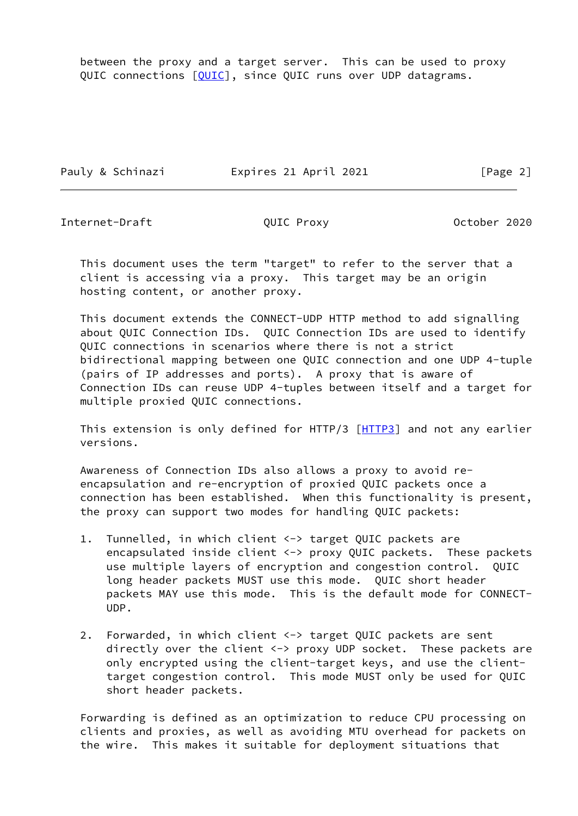between the proxy and a target server. This can be used to proxy QUIC connections [\[QUIC](#page-17-2)], since QUIC runs over UDP datagrams.

Pauly & Schinazi **Expires 21 April 2021** [Page 2]

Internet-Draft **COUIC Proxy** QUIC Proxy **October 2020** 

 This document uses the term "target" to refer to the server that a client is accessing via a proxy. This target may be an origin hosting content, or another proxy.

 This document extends the CONNECT-UDP HTTP method to add signalling about QUIC Connection IDs. QUIC Connection IDs are used to identify QUIC connections in scenarios where there is not a strict bidirectional mapping between one QUIC connection and one UDP 4-tuple (pairs of IP addresses and ports). A proxy that is aware of Connection IDs can reuse UDP 4-tuples between itself and a target for multiple proxied QUIC connections.

This extension is only defined for HTTP/3 [[HTTP3\]](#page-16-5) and not any earlier versions.

 Awareness of Connection IDs also allows a proxy to avoid re encapsulation and re-encryption of proxied QUIC packets once a connection has been established. When this functionality is present, the proxy can support two modes for handling QUIC packets:

- 1. Tunnelled, in which client <-> target QUIC packets are encapsulated inside client <-> proxy QUIC packets. These packets use multiple layers of encryption and congestion control. QUIC long header packets MUST use this mode. QUIC short header packets MAY use this mode. This is the default mode for CONNECT- UDP.
- 2. Forwarded, in which client <-> target QUIC packets are sent directly over the client <-> proxy UDP socket. These packets are only encrypted using the client-target keys, and use the client target congestion control. This mode MUST only be used for QUIC short header packets.

 Forwarding is defined as an optimization to reduce CPU processing on clients and proxies, as well as avoiding MTU overhead for packets on the wire. This makes it suitable for deployment situations that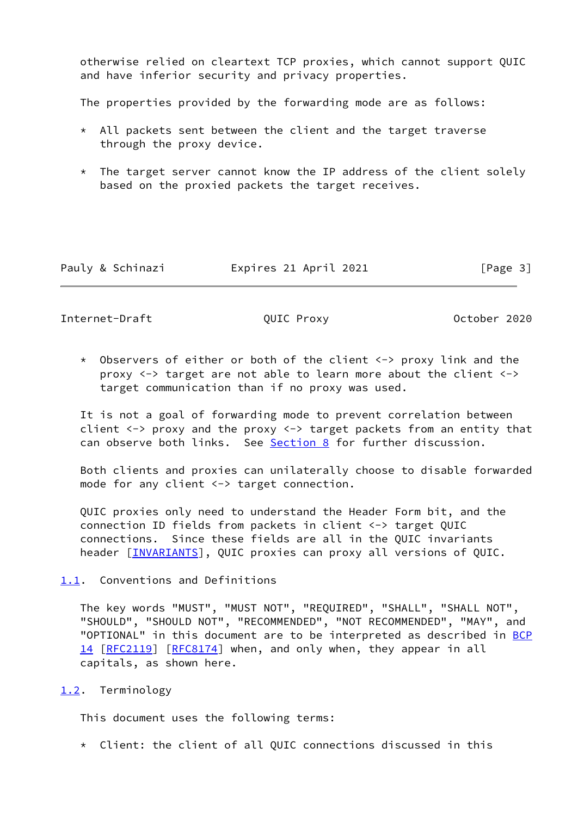otherwise relied on cleartext TCP proxies, which cannot support QUIC and have inferior security and privacy properties.

The properties provided by the forwarding mode are as follows:

- \* All packets sent between the client and the target traverse through the proxy device.
- \* The target server cannot know the IP address of the client solely based on the proxied packets the target receives.

| Pauly & Schinazi | Expires 21 April 2021 | [Page 3] |
|------------------|-----------------------|----------|
|------------------|-----------------------|----------|

<span id="page-3-1"></span>Internet-Draft QUIC Proxy October 2020

 \* Observers of either or both of the client <-> proxy link and the proxy <-> target are not able to learn more about the client <-> target communication than if no proxy was used.

 It is not a goal of forwarding mode to prevent correlation between client <-> proxy and the proxy <-> target packets from an entity that can observe both links. See [Section 8](#page-15-0) for further discussion.

 Both clients and proxies can unilaterally choose to disable forwarded mode for any client <-> target connection.

 QUIC proxies only need to understand the Header Form bit, and the connection ID fields from packets in client <-> target QUIC connections. Since these fields are all in the QUIC invariants header [\[INVARIANTS](#page-17-3)], QUIC proxies can proxy all versions of QUIC.

<span id="page-3-0"></span>[1.1](#page-3-0). Conventions and Definitions

 The key words "MUST", "MUST NOT", "REQUIRED", "SHALL", "SHALL NOT", "SHOULD", "SHOULD NOT", "RECOMMENDED", "NOT RECOMMENDED", "MAY", and "OPTIONAL" in this document are to be interpreted as described in [BCP](https://datatracker.ietf.org/doc/pdf/bcp14) [14](https://datatracker.ietf.org/doc/pdf/bcp14) [[RFC2119\]](https://datatracker.ietf.org/doc/pdf/rfc2119) [\[RFC8174](https://datatracker.ietf.org/doc/pdf/rfc8174)] when, and only when, they appear in all capitals, as shown here.

## <span id="page-3-2"></span>[1.2](#page-3-2). Terminology

This document uses the following terms:

\* Client: the client of all QUIC connections discussed in this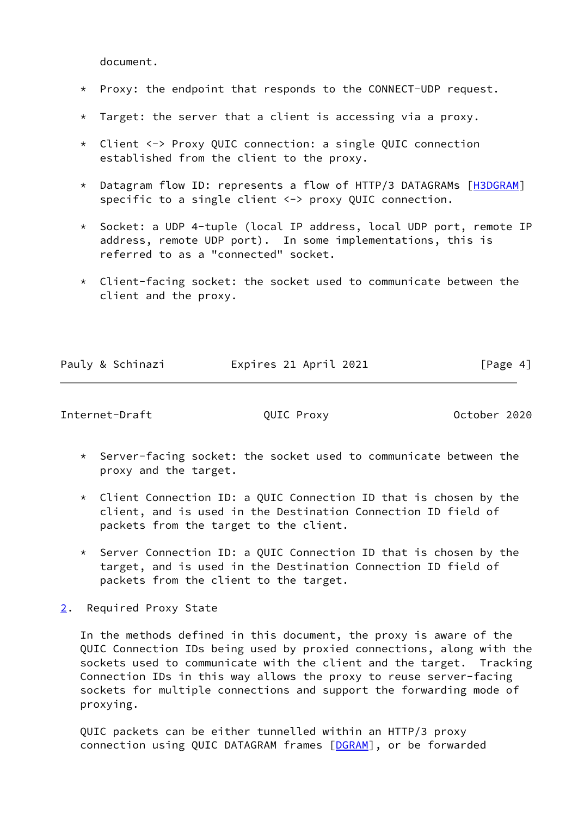document.

- \* Proxy: the endpoint that responds to the CONNECT-UDP request.
- $*$  Target: the server that a client is accessing via a proxy.
- \* Client <-> Proxy QUIC connection: a single QUIC connection established from the client to the proxy.
- \* Datagram flow ID: represents a flow of HTTP/3 DATAGRAMs [[H3DGRAM\]](#page-16-6) specific to a single client <-> proxy QUIC connection.
- \* Socket: a UDP 4-tuple (local IP address, local UDP port, remote IP address, remote UDP port). In some implementations, this is referred to as a "connected" socket.
- \* Client-facing socket: the socket used to communicate between the client and the proxy.

|  | Pauly & Schinazi | Expires 21 April 2021 | [Page $4$ ] |
|--|------------------|-----------------------|-------------|
|  |                  |                       |             |

<span id="page-4-1"></span>Internet-Draft **COUIC Proxy** OUIC Proxy **October 2020** 

- \* Server-facing socket: the socket used to communicate between the proxy and the target.
- $*$  Client Connection ID: a OUIC Connection ID that is chosen by the client, and is used in the Destination Connection ID field of packets from the target to the client.
- \* Server Connection ID: a QUIC Connection ID that is chosen by the target, and is used in the Destination Connection ID field of packets from the client to the target.
- <span id="page-4-0"></span>[2](#page-4-0). Required Proxy State

 In the methods defined in this document, the proxy is aware of the QUIC Connection IDs being used by proxied connections, along with the sockets used to communicate with the client and the target. Tracking Connection IDs in this way allows the proxy to reuse server-facing sockets for multiple connections and support the forwarding mode of proxying.

 QUIC packets can be either tunnelled within an HTTP/3 proxy connection using QUIC DATAGRAM frames [[DGRAM\]](#page-16-7), or be forwarded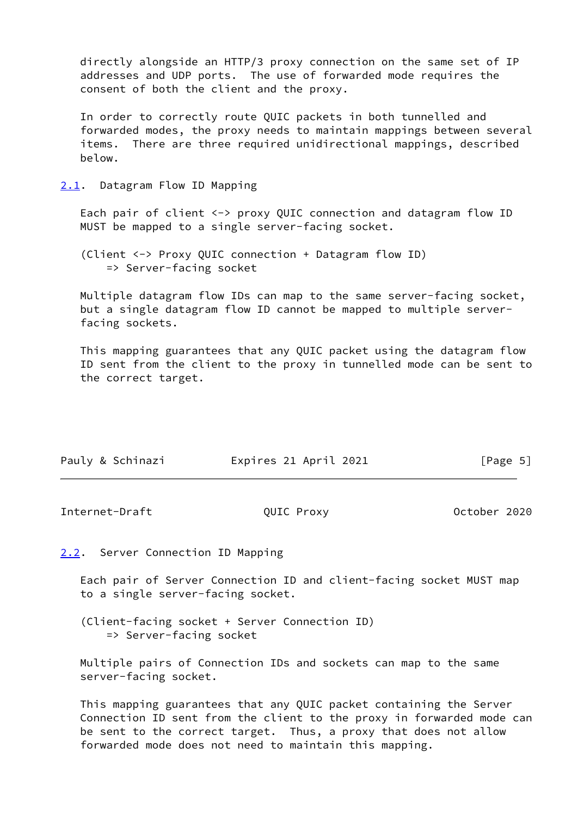directly alongside an HTTP/3 proxy connection on the same set of IP addresses and UDP ports. The use of forwarded mode requires the consent of both the client and the proxy.

 In order to correctly route QUIC packets in both tunnelled and forwarded modes, the proxy needs to maintain mappings between several items. There are three required unidirectional mappings, described below.

<span id="page-5-0"></span>[2.1](#page-5-0). Datagram Flow ID Mapping

 Each pair of client <-> proxy QUIC connection and datagram flow ID MUST be mapped to a single server-facing socket.

 (Client <-> Proxy QUIC connection + Datagram flow ID) => Server-facing socket

 Multiple datagram flow IDs can map to the same server-facing socket, but a single datagram flow ID cannot be mapped to multiple server facing sockets.

 This mapping guarantees that any QUIC packet using the datagram flow ID sent from the client to the proxy in tunnelled mode can be sent to the correct target.

| Pauly & Schinazi | Expires 21 April 2021 | [Page 5] |
|------------------|-----------------------|----------|

<span id="page-5-2"></span>Internet-Draft QUIC Proxy October 2020

<span id="page-5-1"></span>[2.2](#page-5-1). Server Connection ID Mapping

 Each pair of Server Connection ID and client-facing socket MUST map to a single server-facing socket.

 (Client-facing socket + Server Connection ID) => Server-facing socket

 Multiple pairs of Connection IDs and sockets can map to the same server-facing socket.

 This mapping guarantees that any QUIC packet containing the Server Connection ID sent from the client to the proxy in forwarded mode can be sent to the correct target. Thus, a proxy that does not allow forwarded mode does not need to maintain this mapping.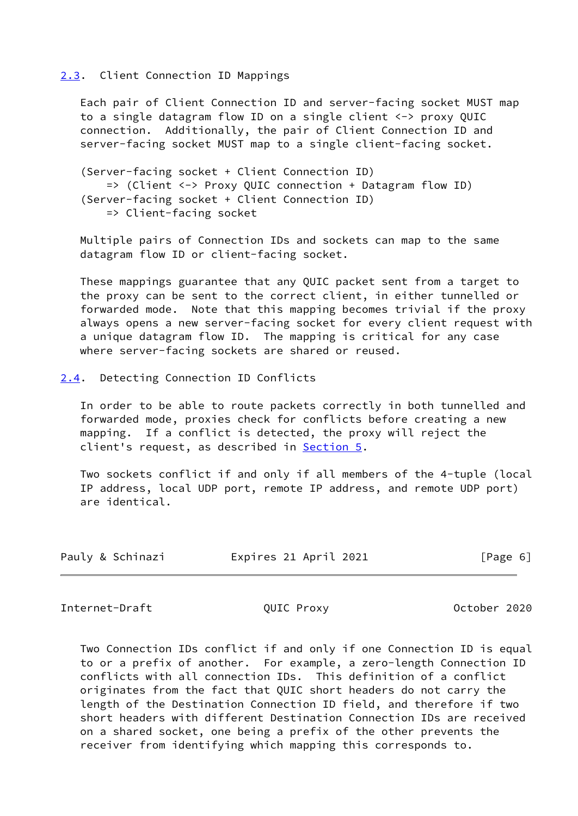#### <span id="page-6-0"></span>[2.3](#page-6-0). Client Connection ID Mappings

 Each pair of Client Connection ID and server-facing socket MUST map to a single datagram flow ID on a single client <-> proxy QUIC connection. Additionally, the pair of Client Connection ID and server-facing socket MUST map to a single client-facing socket.

 (Server-facing socket + Client Connection ID) => (Client <-> Proxy QUIC connection + Datagram flow ID) (Server-facing socket + Client Connection ID) => Client-facing socket

 Multiple pairs of Connection IDs and sockets can map to the same datagram flow ID or client-facing socket.

 These mappings guarantee that any QUIC packet sent from a target to the proxy can be sent to the correct client, in either tunnelled or forwarded mode. Note that this mapping becomes trivial if the proxy always opens a new server-facing socket for every client request with a unique datagram flow ID. The mapping is critical for any case where server-facing sockets are shared or reused.

<span id="page-6-1"></span>[2.4](#page-6-1). Detecting Connection ID Conflicts

 In order to be able to route packets correctly in both tunnelled and forwarded mode, proxies check for conflicts before creating a new mapping. If a conflict is detected, the proxy will reject the client's request, as described in [Section 5.](#page-11-0)

 Two sockets conflict if and only if all members of the 4-tuple (local IP address, local UDP port, remote IP address, and remote UDP port) are identical.

| Pauly & Schinazi<br>Expires 21 April 2021 | [Page 6] |
|-------------------------------------------|----------|
|-------------------------------------------|----------|

<span id="page-6-2"></span>Internet-Draft **QUIC Proxy October 2020** 

 Two Connection IDs conflict if and only if one Connection ID is equal to or a prefix of another. For example, a zero-length Connection ID conflicts with all connection IDs. This definition of a conflict originates from the fact that QUIC short headers do not carry the length of the Destination Connection ID field, and therefore if two short headers with different Destination Connection IDs are received on a shared socket, one being a prefix of the other prevents the receiver from identifying which mapping this corresponds to.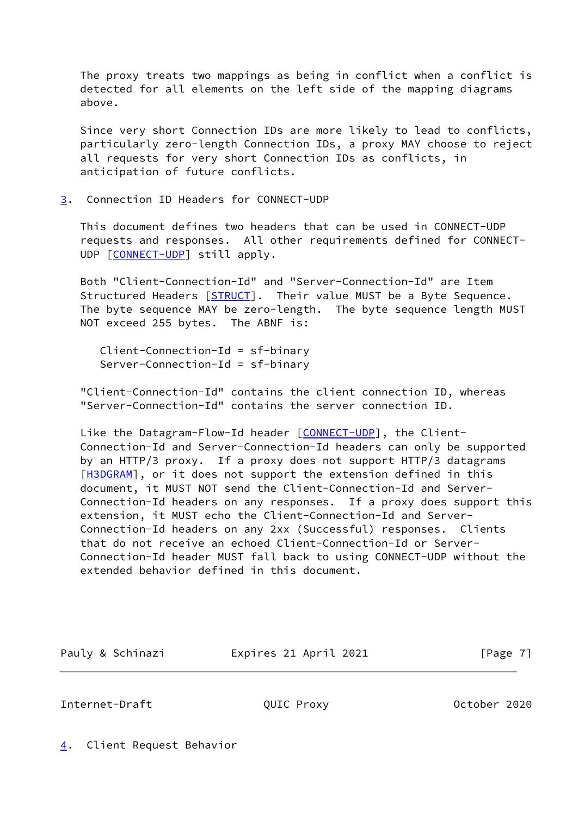The proxy treats two mappings as being in conflict when a conflict is detected for all elements on the left side of the mapping diagrams above.

 Since very short Connection IDs are more likely to lead to conflicts, particularly zero-length Connection IDs, a proxy MAY choose to reject all requests for very short Connection IDs as conflicts, in anticipation of future conflicts.

<span id="page-7-0"></span>[3](#page-7-0). Connection ID Headers for CONNECT-UDP

 This document defines two headers that can be used in CONNECT-UDP requests and responses. All other requirements defined for CONNECT- UDP [\[CONNECT-UDP](#page-16-4)] still apply.

 Both "Client-Connection-Id" and "Server-Connection-Id" are Item Structured Headers [[STRUCT](#page-17-4)]. Their value MUST be a Byte Sequence. The byte sequence MAY be zero-length. The byte sequence length MUST NOT exceed 255 bytes. The ABNF is:

 Client-Connection-Id = sf-binary Server-Connection-Id = sf-binary

 "Client-Connection-Id" contains the client connection ID, whereas "Server-Connection-Id" contains the server connection ID.

Like the Datagram-Flow-Id header [\[CONNECT-UDP](#page-16-4)], the Client- Connection-Id and Server-Connection-Id headers can only be supported by an HTTP/3 proxy. If a proxy does not support HTTP/3 datagrams [\[H3DGRAM](#page-16-6)], or it does not support the extension defined in this document, it MUST NOT send the Client-Connection-Id and Server- Connection-Id headers on any responses. If a proxy does support this extension, it MUST echo the Client-Connection-Id and Server- Connection-Id headers on any 2xx (Successful) responses. Clients that do not receive an echoed Client-Connection-Id or Server- Connection-Id header MUST fall back to using CONNECT-UDP without the extended behavior defined in this document.

| Pauly & Schinazi | Expires 21 April 2021 | [Page 7] |
|------------------|-----------------------|----------|
|                  |                       |          |

<span id="page-7-2"></span>Internet-Draft QUIC Proxy October 2020

<span id="page-7-1"></span>[4](#page-7-1). Client Request Behavior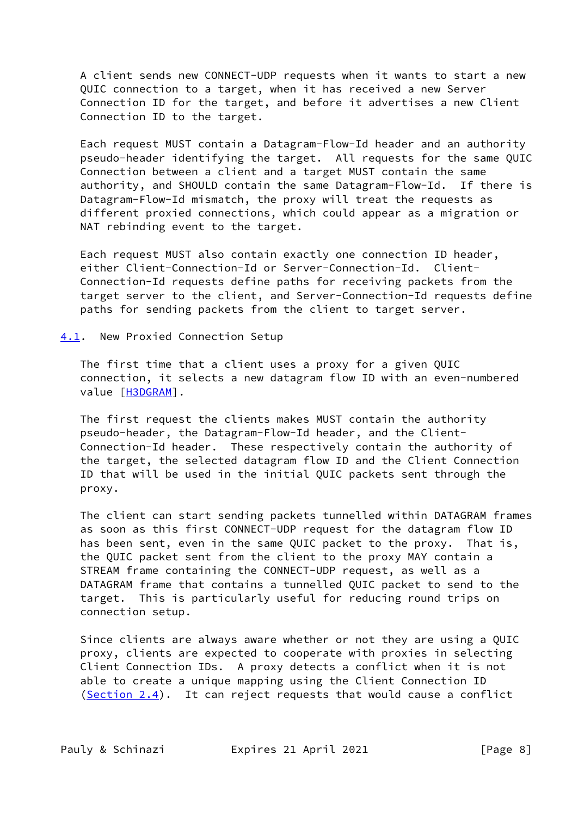A client sends new CONNECT-UDP requests when it wants to start a new QUIC connection to a target, when it has received a new Server Connection ID for the target, and before it advertises a new Client Connection ID to the target.

 Each request MUST contain a Datagram-Flow-Id header and an authority pseudo-header identifying the target. All requests for the same QUIC Connection between a client and a target MUST contain the same authority, and SHOULD contain the same Datagram-Flow-Id. If there is Datagram-Flow-Id mismatch, the proxy will treat the requests as different proxied connections, which could appear as a migration or NAT rebinding event to the target.

 Each request MUST also contain exactly one connection ID header, either Client-Connection-Id or Server-Connection-Id. Client- Connection-Id requests define paths for receiving packets from the target server to the client, and Server-Connection-Id requests define paths for sending packets from the client to target server.

#### <span id="page-8-0"></span>[4.1](#page-8-0). New Proxied Connection Setup

 The first time that a client uses a proxy for a given QUIC connection, it selects a new datagram flow ID with an even-numbered value [[H3DGRAM](#page-16-6)].

 The first request the clients makes MUST contain the authority pseudo-header, the Datagram-Flow-Id header, and the Client- Connection-Id header. These respectively contain the authority of the target, the selected datagram flow ID and the Client Connection ID that will be used in the initial QUIC packets sent through the proxy.

 The client can start sending packets tunnelled within DATAGRAM frames as soon as this first CONNECT-UDP request for the datagram flow ID has been sent, even in the same QUIC packet to the proxy. That is, the QUIC packet sent from the client to the proxy MAY contain a STREAM frame containing the CONNECT-UDP request, as well as a DATAGRAM frame that contains a tunnelled QUIC packet to send to the target. This is particularly useful for reducing round trips on connection setup.

 Since clients are always aware whether or not they are using a QUIC proxy, clients are expected to cooperate with proxies in selecting Client Connection IDs. A proxy detects a conflict when it is not able to create a unique mapping using the Client Connection ID  $(Section 2.4)$  $(Section 2.4)$ . It can reject requests that would cause a conflict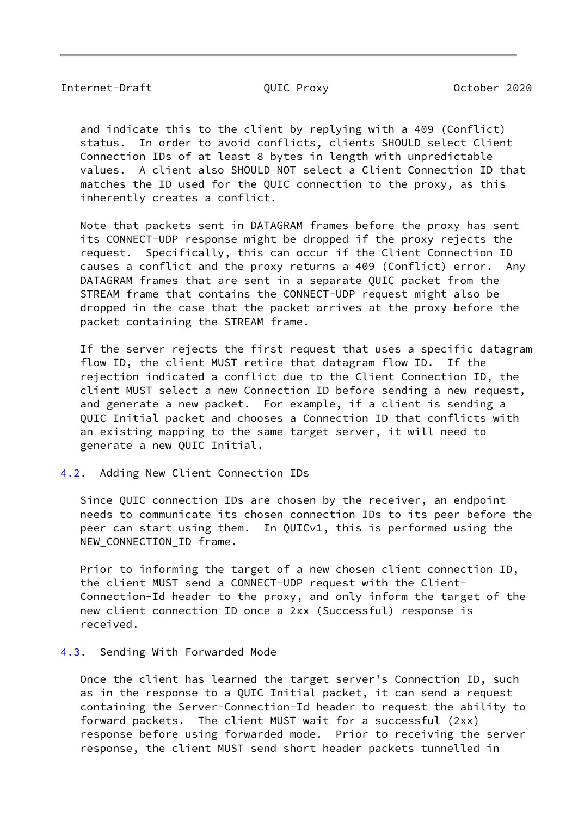<span id="page-9-1"></span> and indicate this to the client by replying with a 409 (Conflict) status. In order to avoid conflicts, clients SHOULD select Client Connection IDs of at least 8 bytes in length with unpredictable values. A client also SHOULD NOT select a Client Connection ID that matches the ID used for the QUIC connection to the proxy, as this inherently creates a conflict.

 Note that packets sent in DATAGRAM frames before the proxy has sent its CONNECT-UDP response might be dropped if the proxy rejects the request. Specifically, this can occur if the Client Connection ID causes a conflict and the proxy returns a 409 (Conflict) error. Any DATAGRAM frames that are sent in a separate QUIC packet from the STREAM frame that contains the CONNECT-UDP request might also be dropped in the case that the packet arrives at the proxy before the packet containing the STREAM frame.

 If the server rejects the first request that uses a specific datagram flow ID, the client MUST retire that datagram flow ID. If the rejection indicated a conflict due to the Client Connection ID, the client MUST select a new Connection ID before sending a new request, and generate a new packet. For example, if a client is sending a QUIC Initial packet and chooses a Connection ID that conflicts with an existing mapping to the same target server, it will need to generate a new QUIC Initial.

<span id="page-9-0"></span>[4.2](#page-9-0). Adding New Client Connection IDs

 Since QUIC connection IDs are chosen by the receiver, an endpoint needs to communicate its chosen connection IDs to its peer before the peer can start using them. In QUICv1, this is performed using the NEW\_CONNECTION\_ID frame.

 Prior to informing the target of a new chosen client connection ID, the client MUST send a CONNECT-UDP request with the Client- Connection-Id header to the proxy, and only inform the target of the new client connection ID once a 2xx (Successful) response is received.

#### <span id="page-9-2"></span>[4.3](#page-9-2). Sending With Forwarded Mode

 Once the client has learned the target server's Connection ID, such as in the response to a QUIC Initial packet, it can send a request containing the Server-Connection-Id header to request the ability to forward packets. The client MUST wait for a successful (2xx) response before using forwarded mode. Prior to receiving the server response, the client MUST send short header packets tunnelled in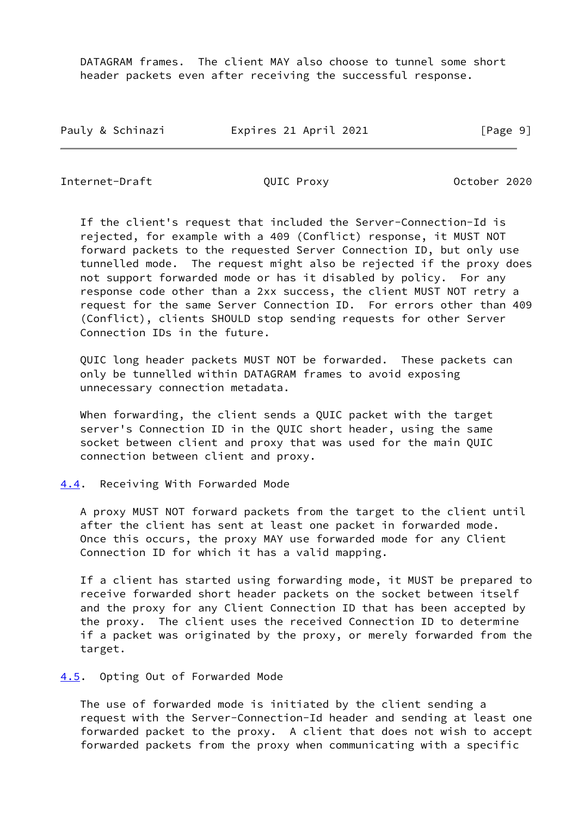DATAGRAM frames. The client MAY also choose to tunnel some short header packets even after receiving the successful response.

Pauly & Schinazi **Expires 21 April 2021** [Page 9]

<span id="page-10-1"></span>Internet-Draft QUIC Proxy October 2020

 If the client's request that included the Server-Connection-Id is rejected, for example with a 409 (Conflict) response, it MUST NOT forward packets to the requested Server Connection ID, but only use tunnelled mode. The request might also be rejected if the proxy does not support forwarded mode or has it disabled by policy. For any response code other than a 2xx success, the client MUST NOT retry a request for the same Server Connection ID. For errors other than 409 (Conflict), clients SHOULD stop sending requests for other Server Connection IDs in the future.

 QUIC long header packets MUST NOT be forwarded. These packets can only be tunnelled within DATAGRAM frames to avoid exposing unnecessary connection metadata.

 When forwarding, the client sends a QUIC packet with the target server's Connection ID in the QUIC short header, using the same socket between client and proxy that was used for the main QUIC connection between client and proxy.

<span id="page-10-0"></span>[4.4](#page-10-0). Receiving With Forwarded Mode

 A proxy MUST NOT forward packets from the target to the client until after the client has sent at least one packet in forwarded mode. Once this occurs, the proxy MAY use forwarded mode for any Client Connection ID for which it has a valid mapping.

 If a client has started using forwarding mode, it MUST be prepared to receive forwarded short header packets on the socket between itself and the proxy for any Client Connection ID that has been accepted by the proxy. The client uses the received Connection ID to determine if a packet was originated by the proxy, or merely forwarded from the target.

<span id="page-10-2"></span>[4.5](#page-10-2). Opting Out of Forwarded Mode

 The use of forwarded mode is initiated by the client sending a request with the Server-Connection-Id header and sending at least one forwarded packet to the proxy. A client that does not wish to accept forwarded packets from the proxy when communicating with a specific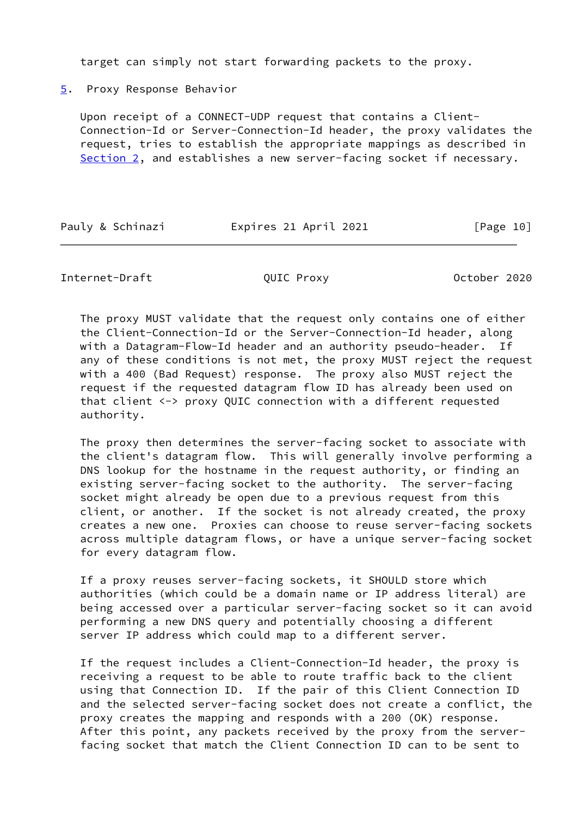target can simply not start forwarding packets to the proxy.

<span id="page-11-0"></span>[5](#page-11-0). Proxy Response Behavior

 Upon receipt of a CONNECT-UDP request that contains a Client- Connection-Id or Server-Connection-Id header, the proxy validates the request, tries to establish the appropriate mappings as described in [Section 2](#page-4-0), and establishes a new server-facing socket if necessary.

Pauly & Schinazi **Expires 21 April 2021** [Page 10]

## Internet-Draft QUIC Proxy October 2020

 The proxy MUST validate that the request only contains one of either the Client-Connection-Id or the Server-Connection-Id header, along with a Datagram-Flow-Id header and an authority pseudo-header. If any of these conditions is not met, the proxy MUST reject the request with a 400 (Bad Request) response. The proxy also MUST reject the request if the requested datagram flow ID has already been used on that client <-> proxy QUIC connection with a different requested authority.

 The proxy then determines the server-facing socket to associate with the client's datagram flow. This will generally involve performing a DNS lookup for the hostname in the request authority, or finding an existing server-facing socket to the authority. The server-facing socket might already be open due to a previous request from this client, or another. If the socket is not already created, the proxy creates a new one. Proxies can choose to reuse server-facing sockets across multiple datagram flows, or have a unique server-facing socket for every datagram flow.

 If a proxy reuses server-facing sockets, it SHOULD store which authorities (which could be a domain name or IP address literal) are being accessed over a particular server-facing socket so it can avoid performing a new DNS query and potentially choosing a different server IP address which could map to a different server.

 If the request includes a Client-Connection-Id header, the proxy is receiving a request to be able to route traffic back to the client using that Connection ID. If the pair of this Client Connection ID and the selected server-facing socket does not create a conflict, the proxy creates the mapping and responds with a 200 (OK) response. After this point, any packets received by the proxy from the server facing socket that match the Client Connection ID can to be sent to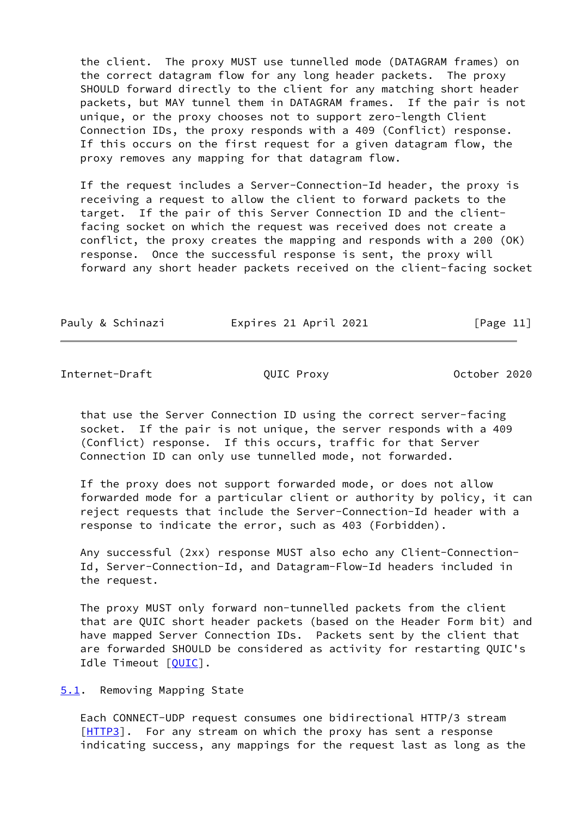the client. The proxy MUST use tunnelled mode (DATAGRAM frames) on the correct datagram flow for any long header packets. The proxy SHOULD forward directly to the client for any matching short header packets, but MAY tunnel them in DATAGRAM frames. If the pair is not unique, or the proxy chooses not to support zero-length Client Connection IDs, the proxy responds with a 409 (Conflict) response. If this occurs on the first request for a given datagram flow, the proxy removes any mapping for that datagram flow.

 If the request includes a Server-Connection-Id header, the proxy is receiving a request to allow the client to forward packets to the target. If the pair of this Server Connection ID and the client facing socket on which the request was received does not create a conflict, the proxy creates the mapping and responds with a 200 (OK) response. Once the successful response is sent, the proxy will forward any short header packets received on the client-facing socket

Pauly & Schinazi **Expires 21 April 2021** [Page 11]

<span id="page-12-1"></span>Internet-Draft QUIC Proxy October 2020

 that use the Server Connection ID using the correct server-facing socket. If the pair is not unique, the server responds with a 409 (Conflict) response. If this occurs, traffic for that Server Connection ID can only use tunnelled mode, not forwarded.

 If the proxy does not support forwarded mode, or does not allow forwarded mode for a particular client or authority by policy, it can reject requests that include the Server-Connection-Id header with a response to indicate the error, such as 403 (Forbidden).

 Any successful (2xx) response MUST also echo any Client-Connection- Id, Server-Connection-Id, and Datagram-Flow-Id headers included in the request.

 The proxy MUST only forward non-tunnelled packets from the client that are QUIC short header packets (based on the Header Form bit) and have mapped Server Connection IDs. Packets sent by the client that are forwarded SHOULD be considered as activity for restarting QUIC's Idle Timeout [\[QUIC](#page-17-2)].

<span id="page-12-0"></span>[5.1](#page-12-0). Removing Mapping State

 Each CONNECT-UDP request consumes one bidirectional HTTP/3 stream [\[HTTP3](#page-16-5)]. For any stream on which the proxy has sent a response indicating success, any mappings for the request last as long as the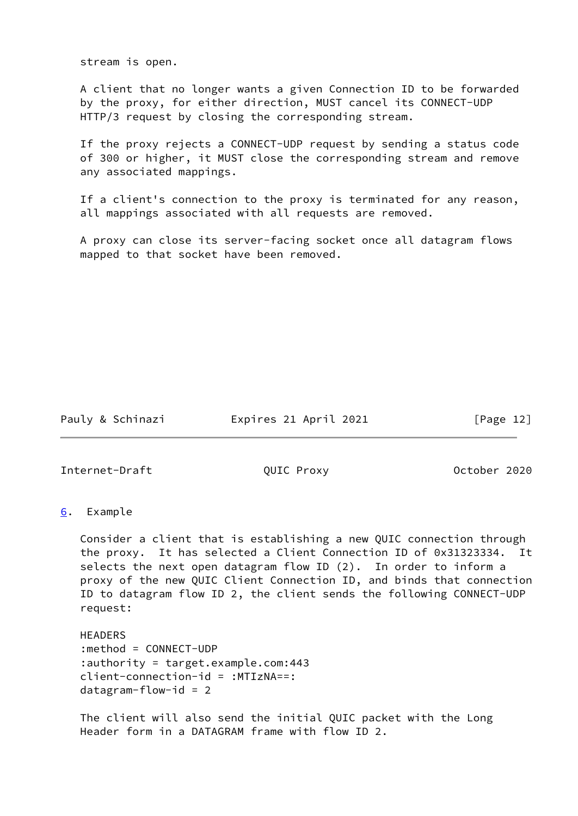stream is open.

 A client that no longer wants a given Connection ID to be forwarded by the proxy, for either direction, MUST cancel its CONNECT-UDP HTTP/3 request by closing the corresponding stream.

 If the proxy rejects a CONNECT-UDP request by sending a status code of 300 or higher, it MUST close the corresponding stream and remove any associated mappings.

 If a client's connection to the proxy is terminated for any reason, all mappings associated with all requests are removed.

 A proxy can close its server-facing socket once all datagram flows mapped to that socket have been removed.

Pauly & Schinazi Expires 21 April 2021 [Page 12]

<span id="page-13-1"></span>Internet-Draft QUIC Proxy October 2020

<span id="page-13-0"></span>[6](#page-13-0). Example

 Consider a client that is establishing a new QUIC connection through the proxy. It has selected a Client Connection ID of 0x31323334. It selects the next open datagram flow ID (2). In order to inform a proxy of the new QUIC Client Connection ID, and binds that connection ID to datagram flow ID 2, the client sends the following CONNECT-UDP request:

 HEADERS :method = CONNECT-UDP :authority = target.example.com:443 client-connection-id = :MTIzNA==: datagram-flow-id = 2

 The client will also send the initial QUIC packet with the Long Header form in a DATAGRAM frame with flow ID 2.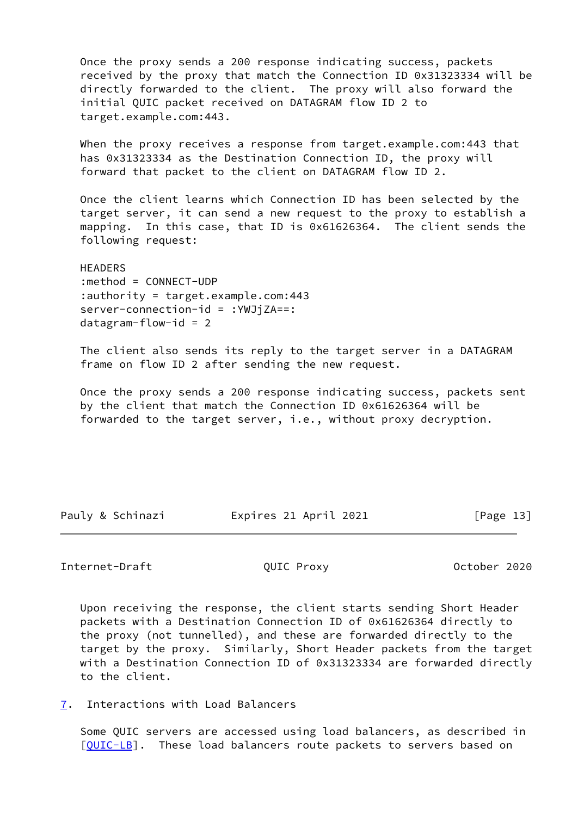Once the proxy sends a 200 response indicating success, packets received by the proxy that match the Connection ID 0x31323334 will be directly forwarded to the client. The proxy will also forward the initial QUIC packet received on DATAGRAM flow ID 2 to target.example.com:443.

When the proxy receives a response from target.example.com:443 that has 0x31323334 as the Destination Connection ID, the proxy will forward that packet to the client on DATAGRAM flow ID 2.

 Once the client learns which Connection ID has been selected by the target server, it can send a new request to the proxy to establish a mapping. In this case, that ID is 0x61626364. The client sends the following request:

 HEADERS :method = CONNECT-UDP :authority = target.example.com:443 server-connection-id = :YWJjZA==: datagram-flow-id = 2

 The client also sends its reply to the target server in a DATAGRAM frame on flow ID 2 after sending the new request.

 Once the proxy sends a 200 response indicating success, packets sent by the client that match the Connection ID 0x61626364 will be forwarded to the target server, i.e., without proxy decryption.

Pauly & Schinazi Expires 21 April 2021 [Page 13]

## <span id="page-14-1"></span>Internet-Draft **CONTAGGITY** QUIC Proxy **CONTAGGITY** October 2020

 Upon receiving the response, the client starts sending Short Header packets with a Destination Connection ID of 0x61626364 directly to the proxy (not tunnelled), and these are forwarded directly to the target by the proxy. Similarly, Short Header packets from the target with a Destination Connection ID of 0x31323334 are forwarded directly to the client.

<span id="page-14-0"></span>[7](#page-14-0). Interactions with Load Balancers

 Some QUIC servers are accessed using load balancers, as described in [\[QUIC-LB](#page-17-5)]. These load balancers route packets to servers based on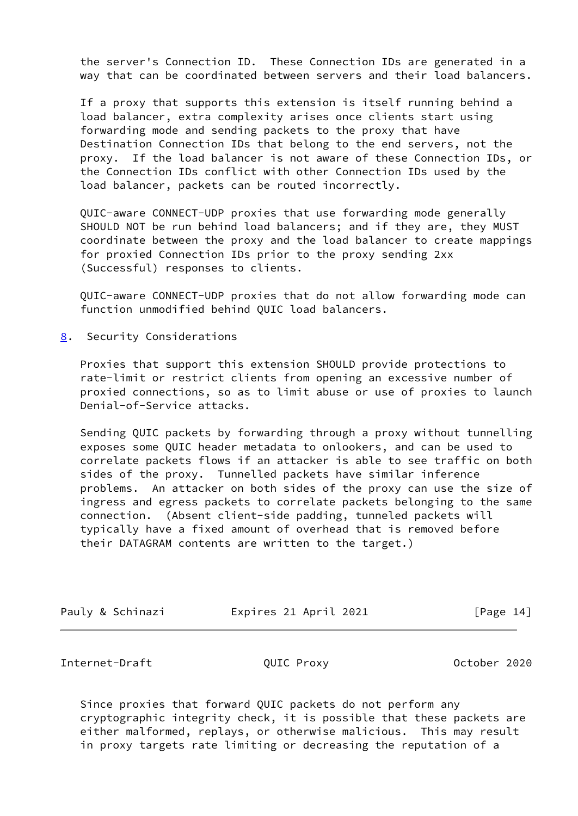the server's Connection ID. These Connection IDs are generated in a way that can be coordinated between servers and their load balancers.

 If a proxy that supports this extension is itself running behind a load balancer, extra complexity arises once clients start using forwarding mode and sending packets to the proxy that have Destination Connection IDs that belong to the end servers, not the proxy. If the load balancer is not aware of these Connection IDs, or the Connection IDs conflict with other Connection IDs used by the load balancer, packets can be routed incorrectly.

 QUIC-aware CONNECT-UDP proxies that use forwarding mode generally SHOULD NOT be run behind load balancers; and if they are, they MUST coordinate between the proxy and the load balancer to create mappings for proxied Connection IDs prior to the proxy sending 2xx (Successful) responses to clients.

 QUIC-aware CONNECT-UDP proxies that do not allow forwarding mode can function unmodified behind QUIC load balancers.

<span id="page-15-0"></span>[8](#page-15-0). Security Considerations

 Proxies that support this extension SHOULD provide protections to rate-limit or restrict clients from opening an excessive number of proxied connections, so as to limit abuse or use of proxies to launch Denial-of-Service attacks.

 Sending QUIC packets by forwarding through a proxy without tunnelling exposes some QUIC header metadata to onlookers, and can be used to correlate packets flows if an attacker is able to see traffic on both sides of the proxy. Tunnelled packets have similar inference problems. An attacker on both sides of the proxy can use the size of ingress and egress packets to correlate packets belonging to the same connection. (Absent client-side padding, tunneled packets will typically have a fixed amount of overhead that is removed before their DATAGRAM contents are written to the target.)

| Pauly & Schinazi | Expires 21 April 2021 | [Page 14] |
|------------------|-----------------------|-----------|
|                  |                       |           |

<span id="page-15-1"></span>Internet-Draft **COUIC Proxy** QUIC Proxy **October 2020** 

 Since proxies that forward QUIC packets do not perform any cryptographic integrity check, it is possible that these packets are either malformed, replays, or otherwise malicious. This may result in proxy targets rate limiting or decreasing the reputation of a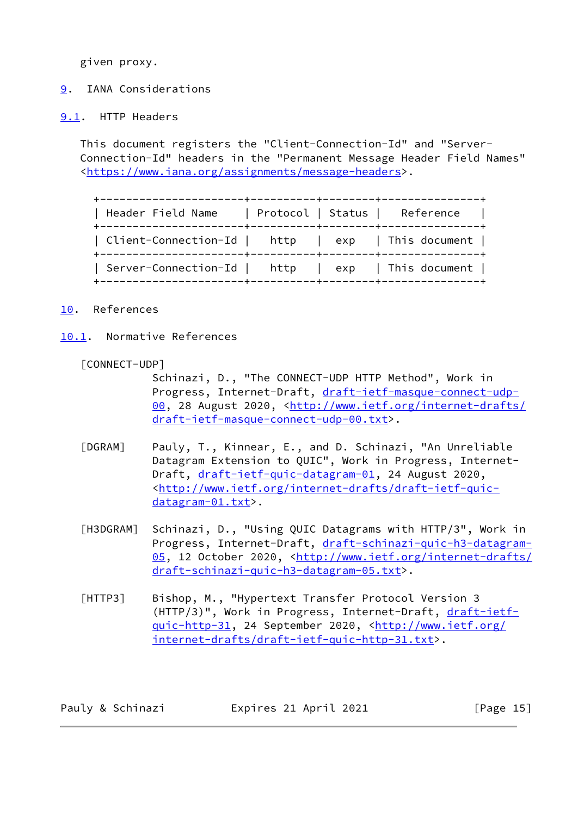given proxy.

# <span id="page-16-0"></span>[9](#page-16-0). IANA Considerations

## <span id="page-16-1"></span>[9.1](#page-16-1). HTTP Headers

 This document registers the "Client-Connection-Id" and "Server- Connection-Id" headers in the "Permanent Message Header Field Names" [<https://www.iana.org/assignments/message-headers](https://www.iana.org/assignments/message-headers)>.

 +----------------------+----------+--------+---------------+ | Header Field Name | Protocol | Status | Reference | +----------------------+----------+--------+---------------+ | Client-Connection-Id | http | exp | This document | +----------------------+----------+--------+---------------+ | Server-Connection-Id | http | exp | This document | +----------------------+----------+--------+---------------+

## <span id="page-16-2"></span>[10.](#page-16-2) References

<span id="page-16-3"></span>[10.1](#page-16-3). Normative References

#### <span id="page-16-4"></span>[CONNECT-UDP]

 Schinazi, D., "The CONNECT-UDP HTTP Method", Work in Progress, Internet-Draft, [draft-ietf-masque-connect-udp-](https://datatracker.ietf.org/doc/pdf/draft-ietf-masque-connect-udp-00) [00,](https://datatracker.ietf.org/doc/pdf/draft-ietf-masque-connect-udp-00) 28 August 2020, [<http://www.ietf.org/internet-drafts/](http://www.ietf.org/internet-drafts/draft-ietf-masque-connect-udp-00.txt) [draft-ietf-masque-connect-udp-00.txt>](http://www.ietf.org/internet-drafts/draft-ietf-masque-connect-udp-00.txt).

- <span id="page-16-7"></span> [DGRAM] Pauly, T., Kinnear, E., and D. Schinazi, "An Unreliable Datagram Extension to QUIC", Work in Progress, Internet Draft, [draft-ietf-quic-datagram-01](https://datatracker.ietf.org/doc/pdf/draft-ietf-quic-datagram-01), 24 August 2020, <[http://www.ietf.org/internet-drafts/draft-ietf-quic](http://www.ietf.org/internet-drafts/draft-ietf-quic-datagram-01.txt) [datagram-01.txt](http://www.ietf.org/internet-drafts/draft-ietf-quic-datagram-01.txt)>.
- <span id="page-16-6"></span> [H3DGRAM] Schinazi, D., "Using QUIC Datagrams with HTTP/3", Work in Progress, Internet-Draft, [draft-schinazi-quic-h3-datagram-](https://datatracker.ietf.org/doc/pdf/draft-schinazi-quic-h3-datagram-05) [05,](https://datatracker.ietf.org/doc/pdf/draft-schinazi-quic-h3-datagram-05) 12 October 2020, [<http://www.ietf.org/internet-drafts/](http://www.ietf.org/internet-drafts/draft-schinazi-quic-h3-datagram-05.txt) [draft-schinazi-quic-h3-datagram-05.txt](http://www.ietf.org/internet-drafts/draft-schinazi-quic-h3-datagram-05.txt)>.
- <span id="page-16-5"></span> [HTTP3] Bishop, M., "Hypertext Transfer Protocol Version 3 (HTTP/3)", Work in Progress, Internet-Draft, [draft-ietf](https://datatracker.ietf.org/doc/pdf/draft-ietf-quic-http-31) [quic-http-31,](https://datatracker.ietf.org/doc/pdf/draft-ietf-quic-http-31) 24 September 2020, [<http://www.ietf.org/](http://www.ietf.org/internet-drafts/draft-ietf-quic-http-31.txt) [internet-drafts/draft-ietf-quic-http-31.txt](http://www.ietf.org/internet-drafts/draft-ietf-quic-http-31.txt)>.

| Pauly & Schinazi | Expires 21 April 2021 | [Page $15$ ] |
|------------------|-----------------------|--------------|
|------------------|-----------------------|--------------|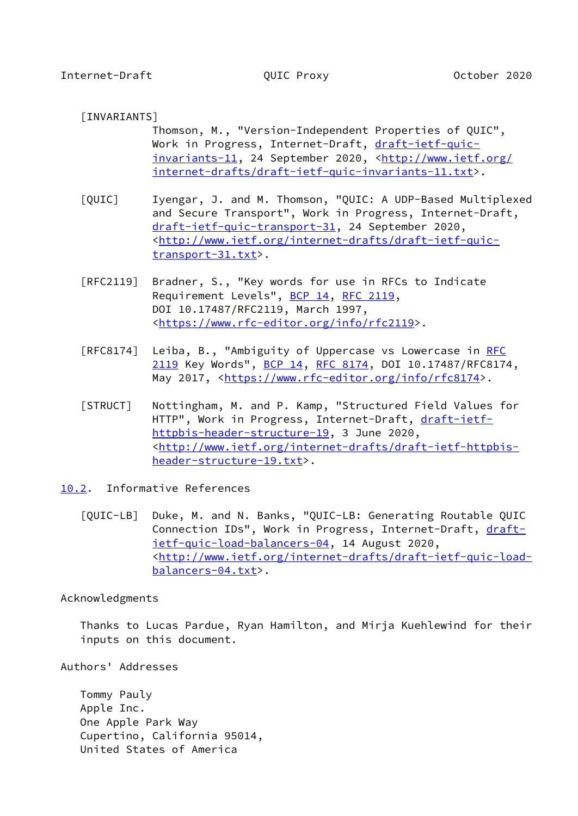# <span id="page-17-3"></span><span id="page-17-1"></span>[INVARIANTS]

 Thomson, M., "Version-Independent Properties of QUIC", Work in Progress, Internet-Draft, [draft-ietf-quic](https://datatracker.ietf.org/doc/pdf/draft-ietf-quic-invariants-11) [invariants-11,](https://datatracker.ietf.org/doc/pdf/draft-ietf-quic-invariants-11) 24 September 2020, [<http://www.ietf.org/](http://www.ietf.org/internet-drafts/draft-ietf-quic-invariants-11.txt) [internet-drafts/draft-ietf-quic-invariants-11.txt>](http://www.ietf.org/internet-drafts/draft-ietf-quic-invariants-11.txt).

- <span id="page-17-2"></span> [QUIC] Iyengar, J. and M. Thomson, "QUIC: A UDP-Based Multiplexed and Secure Transport", Work in Progress, Internet-Draft, [draft-ietf-quic-transport-31,](https://datatracker.ietf.org/doc/pdf/draft-ietf-quic-transport-31) 24 September 2020, <[http://www.ietf.org/internet-drafts/draft-ietf-quic](http://www.ietf.org/internet-drafts/draft-ietf-quic-transport-31.txt) [transport-31.txt>](http://www.ietf.org/internet-drafts/draft-ietf-quic-transport-31.txt).
- [RFC2119] Bradner, S., "Key words for use in RFCs to Indicate Requirement Levels", [BCP 14](https://datatracker.ietf.org/doc/pdf/bcp14), [RFC 2119](https://datatracker.ietf.org/doc/pdf/rfc2119), DOI 10.17487/RFC2119, March 1997, <[https://www.rfc-editor.org/info/rfc2119>](https://www.rfc-editor.org/info/rfc2119).
- [RFC8174] Leiba, B., "Ambiguity of Uppercase vs Lowercase in [RFC](https://datatracker.ietf.org/doc/pdf/rfc2119) [2119](https://datatracker.ietf.org/doc/pdf/rfc2119) Key Words", [BCP 14](https://datatracker.ietf.org/doc/pdf/bcp14), [RFC 8174,](https://datatracker.ietf.org/doc/pdf/rfc8174) DOI 10.17487/RFC8174, May 2017, [<https://www.rfc-editor.org/info/rfc8174](https://www.rfc-editor.org/info/rfc8174)>.
- <span id="page-17-4"></span> [STRUCT] Nottingham, M. and P. Kamp, "Structured Field Values for HTTP", Work in Progress, Internet-Draft, [draft-ietf](https://datatracker.ietf.org/doc/pdf/draft-ietf-httpbis-header-structure-19) [httpbis-header-structure-19](https://datatracker.ietf.org/doc/pdf/draft-ietf-httpbis-header-structure-19), 3 June 2020, <[http://www.ietf.org/internet-drafts/draft-ietf-httpbis](http://www.ietf.org/internet-drafts/draft-ietf-httpbis-header-structure-19.txt) [header-structure-19.txt](http://www.ietf.org/internet-drafts/draft-ietf-httpbis-header-structure-19.txt)>.
- <span id="page-17-5"></span><span id="page-17-0"></span>[10.2](#page-17-0). Informative References
	- [QUIC-LB] Duke, M. and N. Banks, "QUIC-LB: Generating Routable QUIC Connection IDs", Work in Progress, Internet-Draft, [draft](https://datatracker.ietf.org/doc/pdf/draft-ietf-quic-load-balancers-04) [ietf-quic-load-balancers-04](https://datatracker.ietf.org/doc/pdf/draft-ietf-quic-load-balancers-04), 14 August 2020, <[http://www.ietf.org/internet-drafts/draft-ietf-quic-load](http://www.ietf.org/internet-drafts/draft-ietf-quic-load-balancers-04.txt) [balancers-04.txt>](http://www.ietf.org/internet-drafts/draft-ietf-quic-load-balancers-04.txt).

#### Acknowledgments

 Thanks to Lucas Pardue, Ryan Hamilton, and Mirja Kuehlewind for their inputs on this document.

## Authors' Addresses

 Tommy Pauly Apple Inc. One Apple Park Way Cupertino, California 95014, United States of America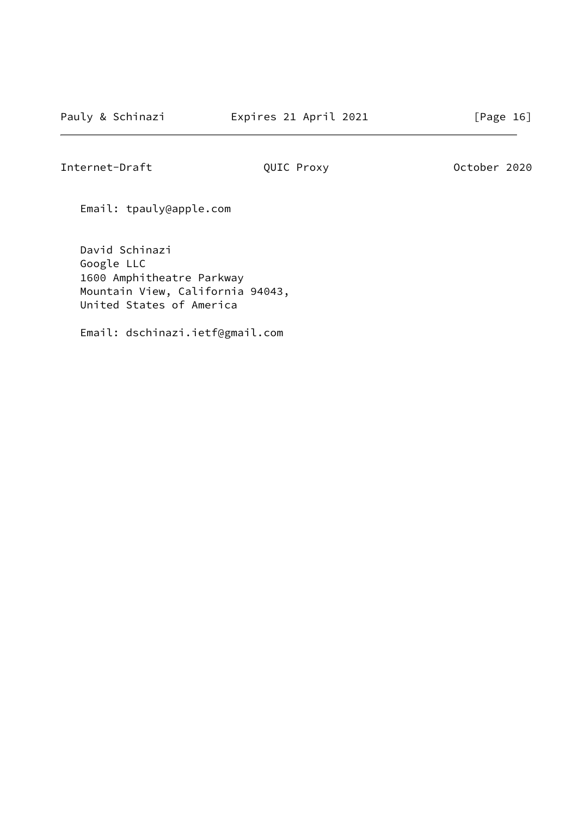Internet-Draft **QUIC Proxy October 2020** 

Email: tpauly@apple.com

 David Schinazi Google LLC 1600 Amphitheatre Parkway Mountain View, California 94043, United States of America

Email: dschinazi.ietf@gmail.com